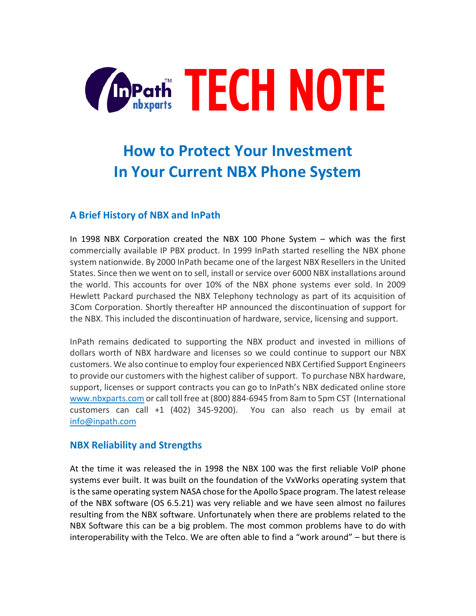

# **How to Protect Your Investment In Your Current NBX Phone System**

## **A Brief History of NBX and InPath**

In 1998 NBX Corporation created the NBX 100 Phone System – which was the first commercially available IP PBX product. In 1999 InPath started reselling the NBX phone system nationwide. By 2000 InPath became one of the largest NBX Resellers in the United States. Since then we went on to sell, install or service over 6000 NBX installations around the world. This accounts for over 10% of the NBX phone systems ever sold. In 2009 Hewlett Packard purchased the NBX Telephony technology as part of its acquisition of 3Com Corporation. Shortly thereafter HP announced the discontinuation of support for the NBX. This included the discontinuation of hardware, service, licensing and support.

InPath remains dedicated to supporting the NBX product and invested in millions of dollars worth of NBX hardware and licenses so we could continue to support our NBX customers. We also continue to employ four experienced NBX Certified Support Engineers to provide our customers with the highest caliber of support. To purchase NBX hardware, support, licenses or support contracts you can go to InPath's NBX dedicated online store [www.nbxparts.com](http://www.nbxparts.com/) or call toll free at (800) 884-6945 from 8am to 5pm CST (International customers can call +1 (402) 345-9200). You can also reach us by email at [info@inpath.com](mailto:info@inpath.com)

#### **NBX Reliability and Strengths**

At the time it was released the in 1998 the NBX 100 was the first reliable VoIP phone systems ever built. It was built on the foundation of the VxWorks operating system that is the same operating system NASA chose for the Apollo Space program. The latest release of the NBX software (OS 6.5.21) was very reliable and we have seen almost no failures resulting from the NBX software. Unfortunately when there are problems related to the NBX Software this can be a big problem. The most common problems have to do with interoperability with the Telco. We are often able to find a "work around" – but there is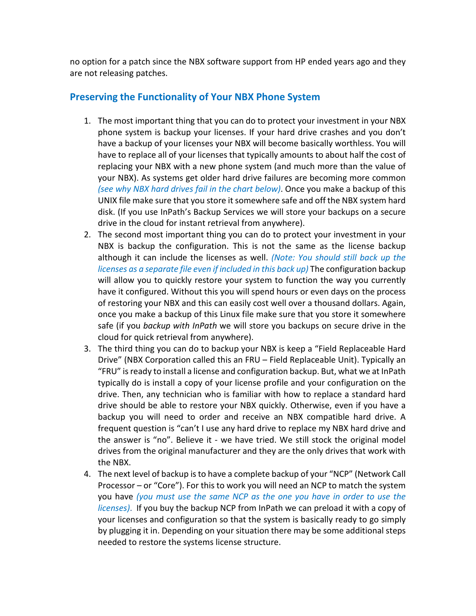no option for a patch since the NBX software support from HP ended years ago and they are not releasing patches.

### **Preserving the Functionality of Your NBX Phone System**

- 1. The most important thing that you can do to protect your investment in your NBX phone system is backup your licenses. If your hard drive crashes and you don't have a backup of your licenses your NBX will become basically worthless. You will have to replace all of your licenses that typically amounts to about half the cost of replacing your NBX with a new phone system (and much more than the value of your NBX). As systems get older hard drive failures are becoming more common *(see why NBX hard drives fail in the chart below)*. Once you make a backup of this UNIX file make sure that you store it somewhere safe and off the NBX system hard disk. (If you use InPath's Backup Services we will store your backups on a secure drive in the cloud for instant retrieval from anywhere).
- 2. The second most important thing you can do to protect your investment in your NBX is backup the configuration. This is not the same as the license backup although it can include the licenses as well. *(Note: You should still back up the licenses as a separate file even if included in this back up)* The configuration backup will allow you to quickly restore your system to function the way you currently have it configured. Without this you will spend hours or even days on the process of restoring your NBX and this can easily cost well over a thousand dollars. Again, once you make a backup of this Linux file make sure that you store it somewhere safe (if you *backup with InPath* we will store you backups on secure drive in the cloud for quick retrieval from anywhere).
- 3. The third thing you can do to backup your NBX is keep a "Field Replaceable Hard Drive" (NBX Corporation called this an FRU – Field Replaceable Unit). Typically an "FRU" is ready to install a license and configuration backup. But, what we at InPath typically do is install a copy of your license profile and your configuration on the drive. Then, any technician who is familiar with how to replace a standard hard drive should be able to restore your NBX quickly. Otherwise, even if you have a backup you will need to order and receive an NBX compatible hard drive. A frequent question is "can't I use any hard drive to replace my NBX hard drive and the answer is "no". Believe it - we have tried. We still stock the original model drives from the original manufacturer and they are the only drives that work with the NBX.
- 4. The next level of backup is to have a complete backup of your "NCP" (Network Call Processor – or "Core"). For this to work you will need an NCP to match the system you have *(you must use the same NCP as the one you have in order to use the licenses)*. If you buy the backup NCP from InPath we can preload it with a copy of your licenses and configuration so that the system is basically ready to go simply by plugging it in. Depending on your situation there may be some additional steps needed to restore the systems license structure.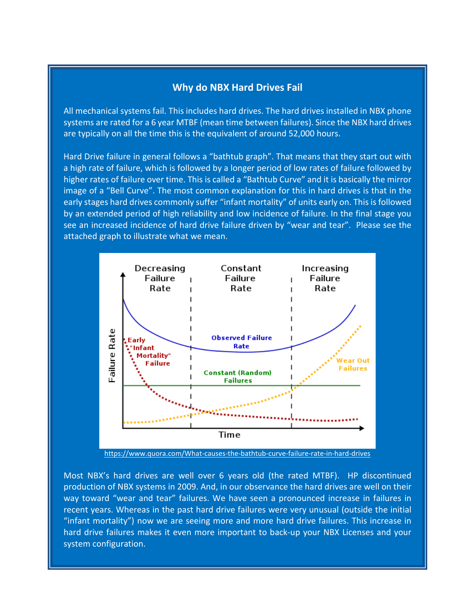#### **Why do NBX Hard Drives Fail**

All mechanical systems fail. This includes hard drives. The hard drives installed in NBX phone systems are rated for a 6 year MTBF (mean time between failures). Since the NBX hard drives are typically on all the time this is the equivalent of around 52,000 hours.

Hard Drive failure in general follows a "bathtub graph". That means that they start out with a high rate of failure, which is followed by a longer period of low rates of failure followed by higher rates of failure over time. This is called a "Bathtub Curve" and it is basically the mirror image of a "Bell Curve". The most common explanation for this in hard drives is that in the early stages hard drives commonly suffer "infant mortality" of units early on. This is followed by an extended period of high reliability and low incidence of failure. In the final stage you see an increased incidence of hard drive failure driven by "wear and tear". Please see the attached graph to illustrate what we mean.



<https://www.quora.com/What-causes-the-bathtub-curve-failure-rate-in-hard-drives>

Most NBX's hard drives are well over 6 years old (the rated MTBF). HP discontinued production of NBX systems in 2009. And, in our observance the hard drives are well on their way toward "wear and tear" failures. We have seen a pronounced increase in failures in recent years. Whereas in the past hard drive failures were very unusual (outside the initial "infant mortality") now we are seeing more and more hard drive failures. This increase in hard drive failures makes it even more important to back-up your NBX Licenses and your system configuration.